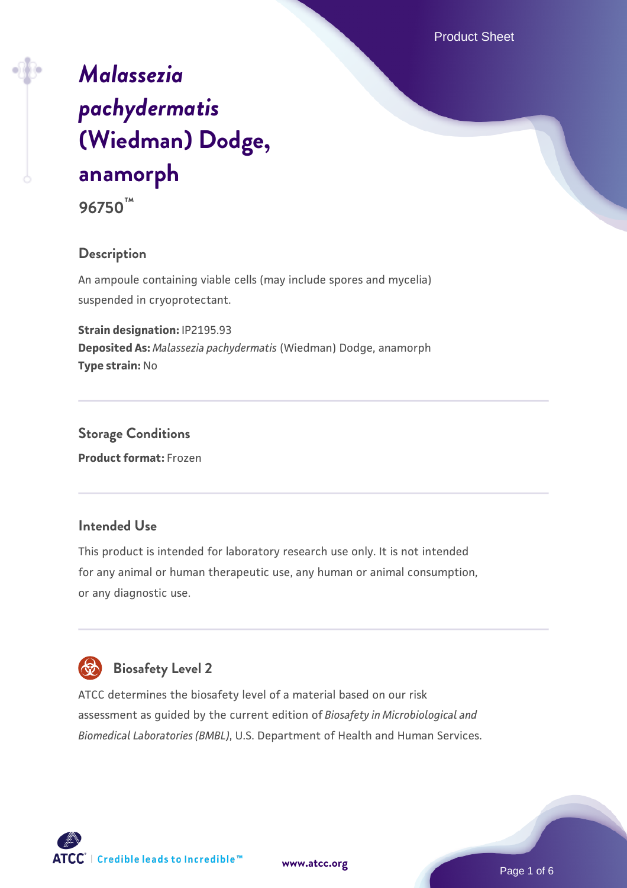Product Sheet

# *[Malassezia](https://www.atcc.org/products/96750) [pachydermatis](https://www.atcc.org/products/96750)* **[\(Wiedman\) Dodge,](https://www.atcc.org/products/96750) [anamorph](https://www.atcc.org/products/96750) 96750™**

#### **Description**

An ampoule containing viable cells (may include spores and mycelia) suspended in cryoprotectant.

**Strain designation:** IP2195.93 **Deposited As:** *Malassezia pachydermatis* (Wiedman) Dodge, anamorph **Type strain:** No

**Storage Conditions Product format:** Frozen

#### **Intended Use**

This product is intended for laboratory research use only. It is not intended for any animal or human therapeutic use, any human or animal consumption, or any diagnostic use.



### **Biosafety Level 2**

ATCC determines the biosafety level of a material based on our risk assessment as guided by the current edition of *Biosafety in Microbiological and Biomedical Laboratories (BMBL)*, U.S. Department of Health and Human Services.

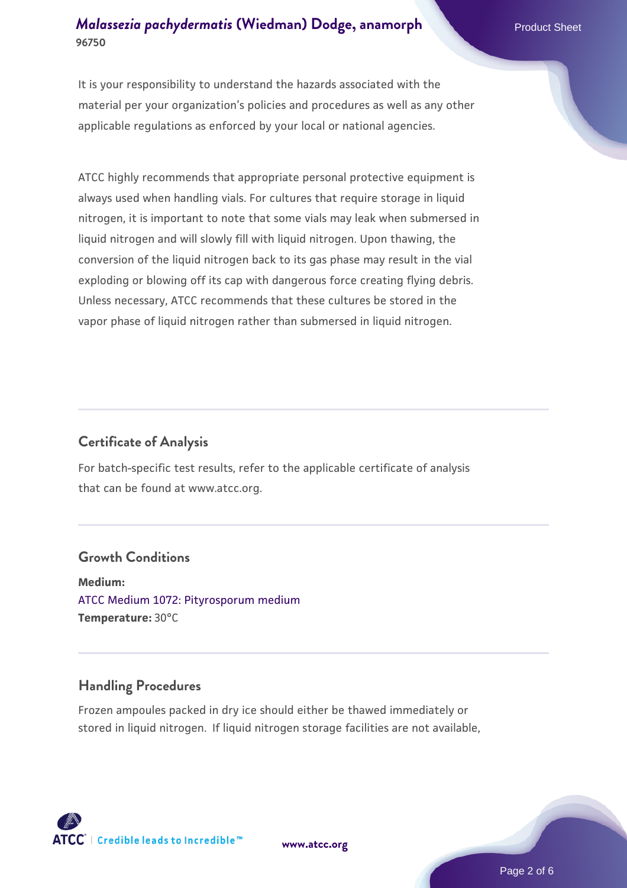It is your responsibility to understand the hazards associated with the material per your organization's policies and procedures as well as any other applicable regulations as enforced by your local or national agencies.

ATCC highly recommends that appropriate personal protective equipment is always used when handling vials. For cultures that require storage in liquid nitrogen, it is important to note that some vials may leak when submersed in liquid nitrogen and will slowly fill with liquid nitrogen. Upon thawing, the conversion of the liquid nitrogen back to its gas phase may result in the vial exploding or blowing off its cap with dangerous force creating flying debris. Unless necessary, ATCC recommends that these cultures be stored in the vapor phase of liquid nitrogen rather than submersed in liquid nitrogen.

#### **Certificate of Analysis**

For batch-specific test results, refer to the applicable certificate of analysis that can be found at www.atcc.org.

#### **Growth Conditions**

**Medium:**  [ATCC Medium 1072: Pityrosporum medium](https://www.atcc.org/-/media/product-assets/documents/microbial-media-formulations/atcc-medium-1072.pdf?rev=d7d9b04a48f44890879a8eb7868bf5cc) **Temperature:** 30°C

#### **Handling Procedures**

Frozen ampoules packed in dry ice should either be thawed immediately or stored in liquid nitrogen. If liquid nitrogen storage facilities are not available,



**[www.atcc.org](http://www.atcc.org)**

Page 2 of 6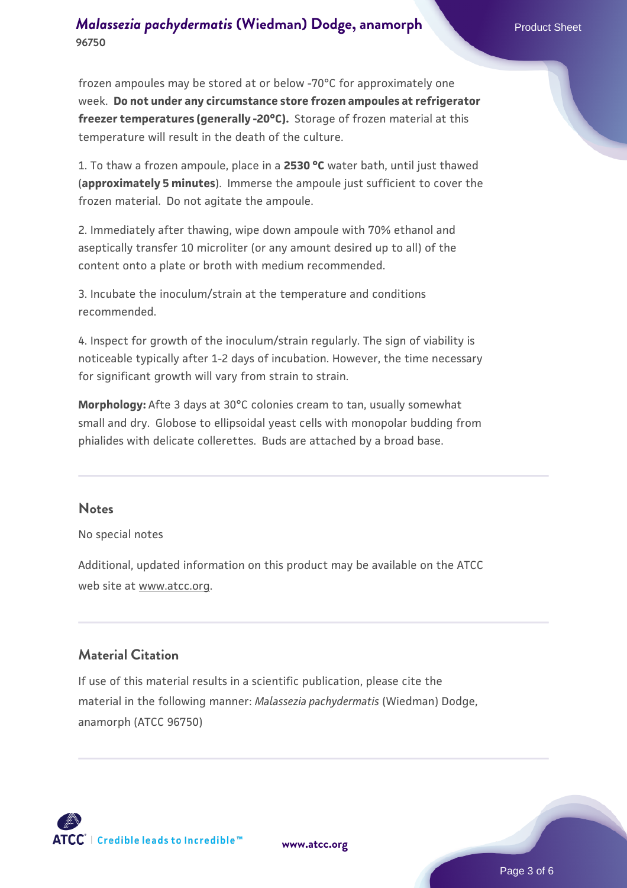frozen ampoules may be stored at or below -70°C for approximately one week. **Do not under any circumstance store frozen ampoules at refrigerator freezer temperatures (generally -20°C).** Storage of frozen material at this temperature will result in the death of the culture.

1. To thaw a frozen ampoule, place in a **2530 °C** water bath, until just thawed (**approximately 5 minutes**). Immerse the ampoule just sufficient to cover the frozen material. Do not agitate the ampoule.

2. Immediately after thawing, wipe down ampoule with 70% ethanol and aseptically transfer 10 microliter (or any amount desired up to all) of the content onto a plate or broth with medium recommended.

3. Incubate the inoculum/strain at the temperature and conditions recommended.

4. Inspect for growth of the inoculum/strain regularly. The sign of viability is noticeable typically after 1-2 days of incubation. However, the time necessary for significant growth will vary from strain to strain.

**Morphology:** Afte 3 days at 30°C colonies cream to tan, usually somewhat small and dry. Globose to ellipsoidal yeast cells with monopolar budding from phialides with delicate collerettes. Buds are attached by a broad base.

#### **Notes**

No special notes

Additional, updated information on this product may be available on the ATCC web site at www.atcc.org.

#### **Material Citation**

If use of this material results in a scientific publication, please cite the material in the following manner: *Malassezia pachydermatis* (Wiedman) Dodge, anamorph (ATCC 96750)



**[www.atcc.org](http://www.atcc.org)**

Page 3 of 6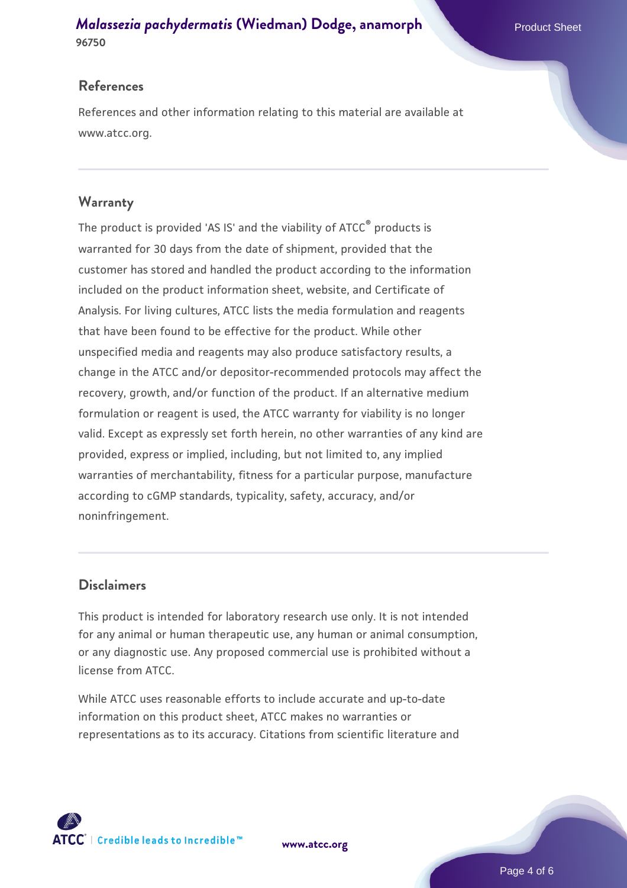#### **References**

References and other information relating to this material are available at www.atcc.org.

#### **Warranty**

The product is provided 'AS IS' and the viability of ATCC® products is warranted for 30 days from the date of shipment, provided that the customer has stored and handled the product according to the information included on the product information sheet, website, and Certificate of Analysis. For living cultures, ATCC lists the media formulation and reagents that have been found to be effective for the product. While other unspecified media and reagents may also produce satisfactory results, a change in the ATCC and/or depositor-recommended protocols may affect the recovery, growth, and/or function of the product. If an alternative medium formulation or reagent is used, the ATCC warranty for viability is no longer valid. Except as expressly set forth herein, no other warranties of any kind are provided, express or implied, including, but not limited to, any implied warranties of merchantability, fitness for a particular purpose, manufacture according to cGMP standards, typicality, safety, accuracy, and/or noninfringement.

#### **Disclaimers**

This product is intended for laboratory research use only. It is not intended for any animal or human therapeutic use, any human or animal consumption, or any diagnostic use. Any proposed commercial use is prohibited without a license from ATCC.

While ATCC uses reasonable efforts to include accurate and up-to-date information on this product sheet, ATCC makes no warranties or representations as to its accuracy. Citations from scientific literature and



**[www.atcc.org](http://www.atcc.org)**

Page 4 of 6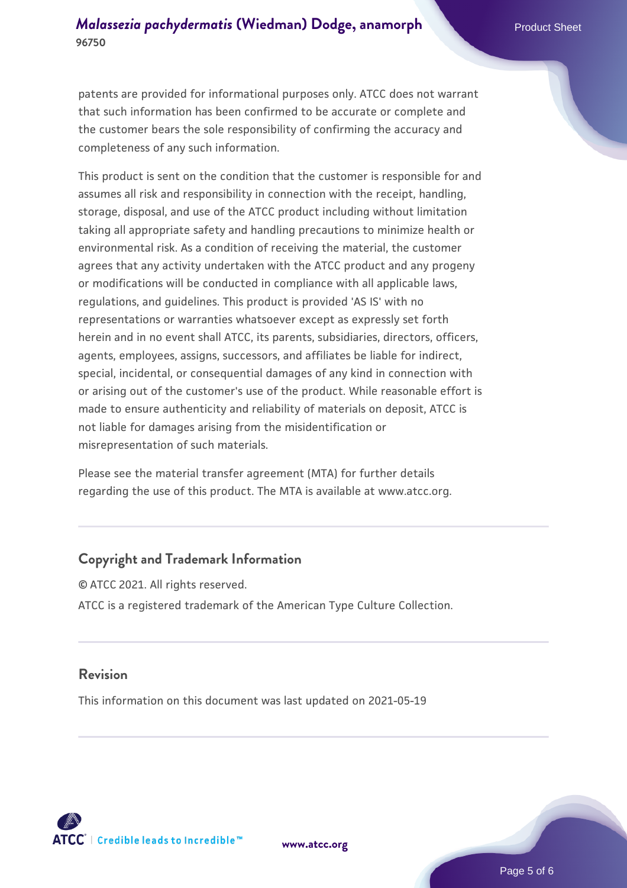patents are provided for informational purposes only. ATCC does not warrant that such information has been confirmed to be accurate or complete and the customer bears the sole responsibility of confirming the accuracy and completeness of any such information.

This product is sent on the condition that the customer is responsible for and assumes all risk and responsibility in connection with the receipt, handling, storage, disposal, and use of the ATCC product including without limitation taking all appropriate safety and handling precautions to minimize health or environmental risk. As a condition of receiving the material, the customer agrees that any activity undertaken with the ATCC product and any progeny or modifications will be conducted in compliance with all applicable laws, regulations, and guidelines. This product is provided 'AS IS' with no representations or warranties whatsoever except as expressly set forth herein and in no event shall ATCC, its parents, subsidiaries, directors, officers, agents, employees, assigns, successors, and affiliates be liable for indirect, special, incidental, or consequential damages of any kind in connection with or arising out of the customer's use of the product. While reasonable effort is made to ensure authenticity and reliability of materials on deposit, ATCC is not liable for damages arising from the misidentification or misrepresentation of such materials.

Please see the material transfer agreement (MTA) for further details regarding the use of this product. The MTA is available at www.atcc.org.

#### **Copyright and Trademark Information**

© ATCC 2021. All rights reserved. ATCC is a registered trademark of the American Type Culture Collection.

#### **Revision**

This information on this document was last updated on 2021-05-19



**[www.atcc.org](http://www.atcc.org)**